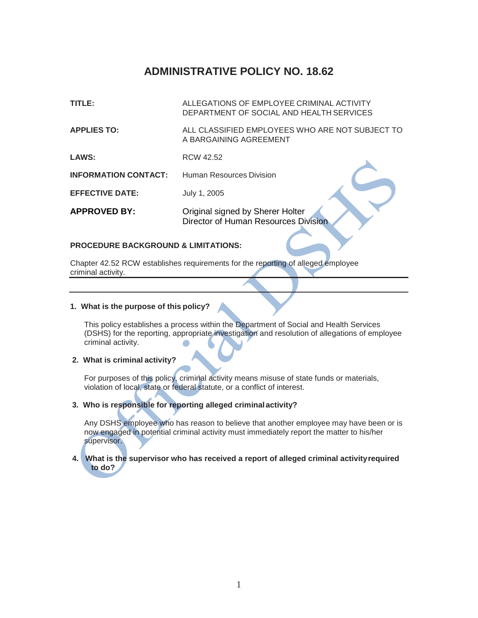# **ADMINISTRATIVE POLICY NO. 18.62**

**TITLE:** ALLEGATIONS OF EMPLOYEE CRIMINAL ACTIVITY DEPARTMENT OF SOCIAL AND HEALTH SERVICES **APPLIES TO:** ALL CLASSIFIED EMPLOYEES WHO ARE NOT SUBJECT TO A BARGAINING AGREEMENT **LAWS:** RCW 42.52 **INFORMATION CONTACT:** Human Resources Division **EFFECTIVE DATE:** July 1, 2005 **APPROVED BY:** Original signed by Sherer Holter Director of Human Resources Division

#### **PROCEDURE BACKGROUND & LIMITATIONS:**

Chapter 42.52 RCW establishes requirements for the reporting of alleged employee criminal activity.

#### **1. What is the purpose of this policy?**

This policy establishes a process within the Department of Social and Health Services (DSHS) for the reporting, appropriate investigation and resolution of allegations of employee criminal activity.

# **2. What is criminal activity?**

For purposes of this policy, criminal activity means misuse of state funds or materials, violation of local, state or federal statute, or a conflict of interest.

## **3. Who is responsible for reporting alleged criminalactivity?**

Any DSHS employee who has reason to believe that another employee may have been or is now engaged in potential criminal activity must immediately report the matter to his/her supervisor.

#### **4. What is the supervisor who has received a report of alleged criminal activityrequired to do?**